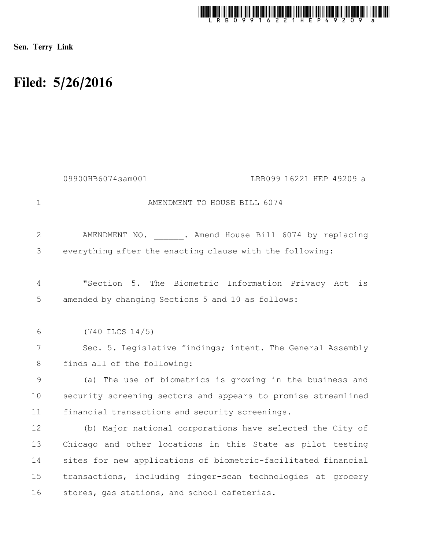

Sen. Terry Link

## Filed: 5/26/2016

|                | LRB099 16221 HEP 49209 a<br>09900HB6074sam001                 |
|----------------|---------------------------------------------------------------|
| 1              | AMENDMENT TO HOUSE BILL 6074                                  |
| $\overline{2}$ | AMENDMENT NO. ____ . Amend House Bill 6074 by replacing       |
| 3              | everything after the enacting clause with the following:      |
| 4              | "Section 5. The Biometric Information Privacy Act<br>is       |
| 5              | amended by changing Sections 5 and 10 as follows:             |
| 6              | $(740$ ILCS $14/5)$                                           |
| 7              | Sec. 5. Legislative findings; intent. The General Assembly    |
| 8              | finds all of the following:                                   |
| 9              | (a) The use of biometrics is growing in the business and      |
| 10             | security screening sectors and appears to promise streamlined |
| 11             | financial transactions and security screenings.               |
| 12             | (b) Major national corporations have selected the City of     |
| 13             | Chicago and other locations in this State as pilot testing    |
| 14             | sites for new applications of biometric-facilitated financial |
| 15             | transactions, including finger-scan technologies at grocery   |
| 16             | stores, gas stations, and school cafeterias.                  |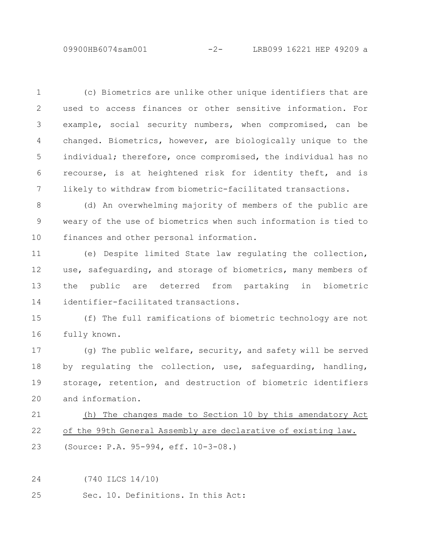(c) Biometrics are unlike other unique identifiers that are used to access finances or other sensitive information. For example, social security numbers, when compromised, can be changed. Biometrics, however, are biologically unique to the individual; therefore, once compromised, the individual has no recourse, is at heightened risk for identity theft, and is likely to withdraw from biometric-facilitated transactions. 1 2 3 4 5 6 7

(d) An overwhelming majority of members of the public are weary of the use of biometrics when such information is tied to finances and other personal information. 8 9 10

(e) Despite limited State law regulating the collection, use, safeguarding, and storage of biometrics, many members of the public are deterred from partaking in biometric identifier-facilitated transactions. 11 12 13 14

(f) The full ramifications of biometric technology are not fully known. 15 16

(g) The public welfare, security, and safety will be served by regulating the collection, use, safeguarding, handling, storage, retention, and destruction of biometric identifiers and information. 17 18 19 20

(h) The changes made to Section 10 by this amendatory Act of the 99th General Assembly are declarative of existing law. (Source: P.A. 95-994, eff. 10-3-08.) 21 22 23

(740 ILCS 14/10) 24

Sec. 10. Definitions. In this Act: 25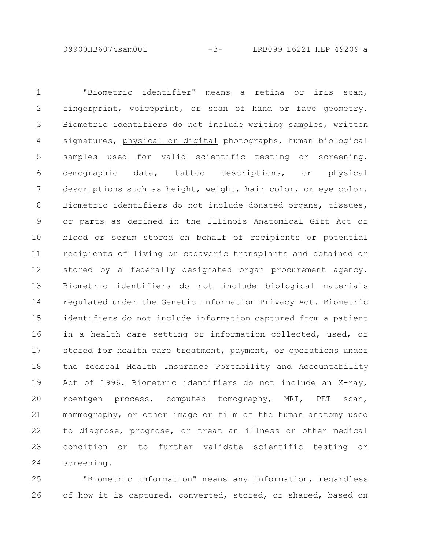09900HB6074sam001 -3- LRB099 16221 HEP 49209 a

"Biometric identifier" means a retina or iris scan, fingerprint, voiceprint, or scan of hand or face geometry. Biometric identifiers do not include writing samples, written signatures, physical or digital photographs, human biological samples used for valid scientific testing or screening, demographic data, tattoo descriptions, or physical descriptions such as height, weight, hair color, or eye color. Biometric identifiers do not include donated organs, tissues, or parts as defined in the Illinois Anatomical Gift Act or blood or serum stored on behalf of recipients or potential recipients of living or cadaveric transplants and obtained or stored by a federally designated organ procurement agency. Biometric identifiers do not include biological materials regulated under the Genetic Information Privacy Act. Biometric identifiers do not include information captured from a patient in a health care setting or information collected, used, or stored for health care treatment, payment, or operations under the federal Health Insurance Portability and Accountability Act of 1996. Biometric identifiers do not include an X-ray, roentgen process, computed tomography, MRI, PET scan, mammography, or other image or film of the human anatomy used to diagnose, prognose, or treat an illness or other medical condition or to further validate scientific testing or screening. 1 2 3 4 5 6 7 8 9 10 11 12 13 14 15 16 17 18 19 20 21 22 23 24

"Biometric information" means any information, regardless of how it is captured, converted, stored, or shared, based on 25 26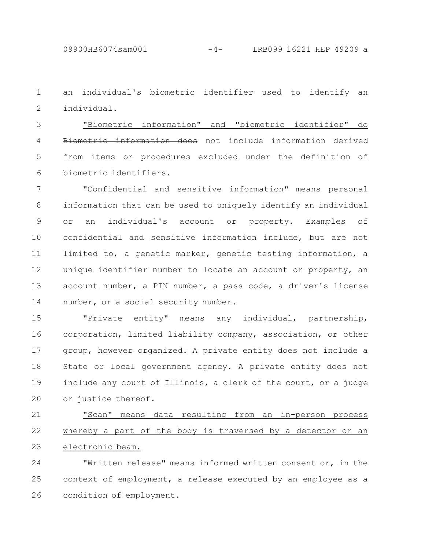09900HB6074sam001 -4- LRB099 16221 HEP 49209 a

an individual's biometric identifier used to identify an individual. 1 2

"Biometric information" and "biometric identifier" do Biometric information does not include information derived from items or procedures excluded under the definition of biometric identifiers. 3 4 5 6

"Confidential and sensitive information" means personal information that can be used to uniquely identify an individual or an individual's account or property. Examples of confidential and sensitive information include, but are not limited to, a genetic marker, genetic testing information, a unique identifier number to locate an account or property, an account number, a PIN number, a pass code, a driver's license number, or a social security number. 7 8 9 10 11 12 13 14

"Private entity" means any individual, partnership, corporation, limited liability company, association, or other group, however organized. A private entity does not include a State or local government agency. A private entity does not include any court of Illinois, a clerk of the court, or a judge or justice thereof. 15 16 17 18 19 20

"Scan" means data resulting from an in-person process whereby a part of the body is traversed by a detector or an electronic beam. 21 22 23

"Written release" means informed written consent or, in the context of employment, a release executed by an employee as a condition of employment. 24 25 26